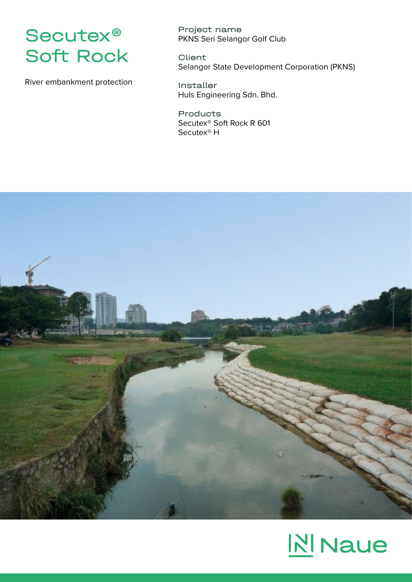

River embankment protection

Project name PKNS Seri Selangor Golf Club

**Client** Selangor State Development Corporation (PKNS)

Installer Huls Engineering Sdn. Bhd.

Products Secutex® Soft Rock R 601 Secutex® H



# **N** Naue